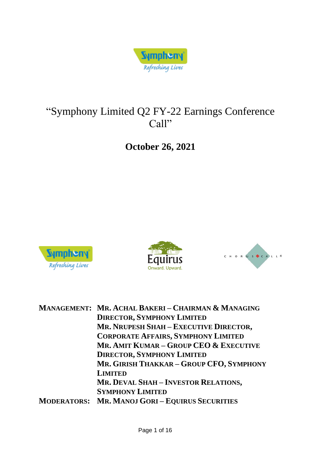

# "Symphony Limited Q2 FY-22 Earnings Conference Call"

## **October 26, 2021**







|  | MANAGEMENT: MR. ACHAL BAKERI - CHAIRMAN & MANAGING   |
|--|------------------------------------------------------|
|  | <b>DIRECTOR, SYMPHONY LIMITED</b>                    |
|  | MR. NRUPESH SHAH - EXECUTIVE DIRECTOR,               |
|  | <b>CORPORATE AFFAIRS, SYMPHONY LIMITED</b>           |
|  | MR. AMIT KUMAR - GROUP CEO & EXECUTIVE               |
|  | <b>DIRECTOR, SYMPHONY LIMITED</b>                    |
|  | MR. GIRISH THAKKAR - GROUP CFO, SYMPHONY             |
|  | <b>LIMITED</b>                                       |
|  | MR. DEVAL SHAH-INVESTOR RELATIONS,                   |
|  | <b>SYMPHONY LIMITED</b>                              |
|  | <b>MODERATORS: MR. MANOJ GORI-EQUIRUS SECURITIES</b> |
|  |                                                      |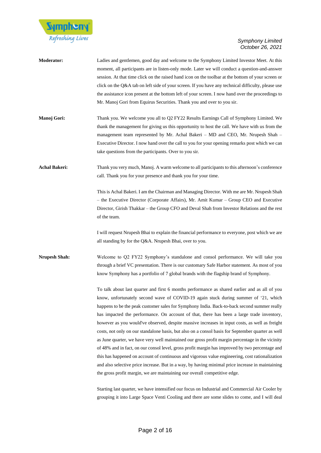

| <b>Moderator:</b>    | Ladies and gentlemen, good day and welcome to the Symphony Limited Investor Meet. At this<br>moment, all participants are in listen-only mode. Later we will conduct a question-and-answer<br>session. At that time click on the raised hand icon on the toolbar at the bottom of your screen or<br>click on the Q&A tab on left side of your screen. If you have any technical difficulty, please use<br>the assistance icon present at the bottom left of your screen. I now hand over the proceedings to<br>Mr. Manoj Gori from Equirus Securities. Thank you and over to you sir.                                                                                                                                                                                                                                                                                                                                                                                                                                                                                              |
|----------------------|------------------------------------------------------------------------------------------------------------------------------------------------------------------------------------------------------------------------------------------------------------------------------------------------------------------------------------------------------------------------------------------------------------------------------------------------------------------------------------------------------------------------------------------------------------------------------------------------------------------------------------------------------------------------------------------------------------------------------------------------------------------------------------------------------------------------------------------------------------------------------------------------------------------------------------------------------------------------------------------------------------------------------------------------------------------------------------|
| Manoj Gori:          | Thank you. We welcome you all to Q2 FY22 Results Earnings Call of Symphony Limited. We<br>thank the management for giving us this opportunity to host the call. We have with us from the<br>management team represented by Mr. Achal Bakeri - MD and CEO, Mr. Nrupesh Shah -<br>Executive Director. I now hand over the call to you for your opening remarks post which we can<br>take questions from the participants. Over to you sir.                                                                                                                                                                                                                                                                                                                                                                                                                                                                                                                                                                                                                                           |
| <b>Achal Bakeri:</b> | Thank you very much, Manoj. A warm welcome to all participants to this afternoon's conference<br>call. Thank you for your presence and thank you for your time.                                                                                                                                                                                                                                                                                                                                                                                                                                                                                                                                                                                                                                                                                                                                                                                                                                                                                                                    |
|                      | This is Achal Bakeri. I am the Chairman and Managing Director. With me are Mr. Nrupesh Shah<br>- the Executive Director (Corporate Affairs), Mr. Amit Kumar - Group CEO and Executive<br>Director, Girish Thakkar – the Group CFO and Deval Shah from Investor Relations and the rest<br>of the team.                                                                                                                                                                                                                                                                                                                                                                                                                                                                                                                                                                                                                                                                                                                                                                              |
|                      | I will request Nrupesh Bhai to explain the financial performance to everyone, post which we are<br>all standing by for the Q&A. Nrupesh Bhai, over to you.                                                                                                                                                                                                                                                                                                                                                                                                                                                                                                                                                                                                                                                                                                                                                                                                                                                                                                                         |
| <b>Nrupesh Shah:</b> | Welcome to Q2 FY22 Symphony's standalone and consol performance. We will take you<br>through a brief VC presentation. There is our customary Safe Harbor statement. As most of you<br>know Symphony has a portfolio of 7 global brands with the flagship brand of Symphony.                                                                                                                                                                                                                                                                                                                                                                                                                                                                                                                                                                                                                                                                                                                                                                                                        |
|                      | To talk about last quarter and first 6 months performance as shared earlier and as all of you<br>know, unfortunately second wave of COVID-19 again stuck during summer of '21, which<br>happens to be the peak customer sales for Symphony India. Back-to-back second summer really<br>has impacted the performance. On account of that, there has been a large trade inventory,<br>however as you would've observed, despite massive increases in input costs, as well as freight<br>costs, not only on our standalone basis, but also on a consol basis for September quarter as well<br>as June quarter, we have very well maintained our gross profit margin percentage in the vicinity<br>of 48% and in fact, on our consol level, gross profit margin has improved by two percentage and<br>this has happened on account of continuous and vigorous value engineering, cost rationalization<br>and also selective price increase. But in a way, by having minimal price increase in maintaining<br>the gross profit margin, we are maintaining our overall competitive edge. |
|                      | Starting last quarter, we have intensified our focus on Industrial and Commercial Air Cooler by                                                                                                                                                                                                                                                                                                                                                                                                                                                                                                                                                                                                                                                                                                                                                                                                                                                                                                                                                                                    |

grouping it into Large Space Venti Cooling and there are some slides to come, and I will deal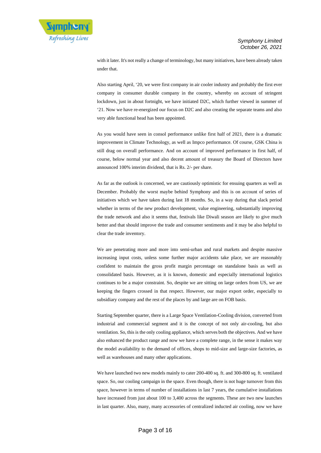with it later. It's not really a change of terminology, but many initiatives, have been already taken under that.

Also starting April, '20, we were first company in air cooler industry and probably the first ever company in consumer durable company in the country, whereby on account of stringent lockdown, just in about fortnight, we have initiated D2C, which further viewed in summer of '21. Now we have re-energized our focus on D2C and also creating the separate teams and also very able functional head has been appointed.

As you would have seen in consol performance unlike first half of 2021, there is a dramatic improvement in Climate Technology, as well as Impco performance. Of course, GSK China is still drag on overall performance. And on account of improved performance in first half, of course, below normal year and also decent amount of treasury the Board of Directors have announced 100% interim dividend, that is Rs. 2/- per share.

As far as the outlook is concerned, we are cautiously optimistic for ensuing quarters as well as December. Probably the worst maybe behind Symphony and this is on account of series of initiatives which we have taken during last 18 months. So, in a way during that slack period whether in terms of the new product development, value engineering, substantially improving the trade network and also it seems that, festivals like Diwali season are likely to give much better and that should improve the trade and consumer sentiments and it may be also helpful to clear the trade inventory.

We are penetrating more and more into semi-urban and rural markets and despite massive increasing input costs, unless some further major accidents take place, we are reasonably confident to maintain the gross profit margin percentage on standalone basis as well as consolidated basis. However, as it is known, domestic and especially international logistics continues to be a major constraint. So, despite we are sitting on large orders from US, we are keeping the fingers crossed in that respect. However, our major export order, especially to subsidiary company and the rest of the places by and large are on FOB basis.

Starting September quarter, there is a Large Space Ventilation-Cooling division, converted from industrial and commercial segment and it is the concept of not only air-cooling, but also ventilation. So, this is the only cooling appliance, which serves both the objectives. And we have also enhanced the product range and now we have a complete range, in the sense it makes way the model availability to the demand of offices, shops to mid-size and large-size factories, as well as warehouses and many other applications.

We have launched two new models mainly to cater 200-400 sq. ft. and 300-800 sq. ft. ventilated space. So, our cooling campaign in the space. Even though, there is not huge turnover from this space, however in terms of number of installations in last 7 years, the cumulative installations have increased from just about 100 to 3,400 across the segments. These are two new launches in last quarter. Also, many, many accessories of centralized inducted air cooling, now we have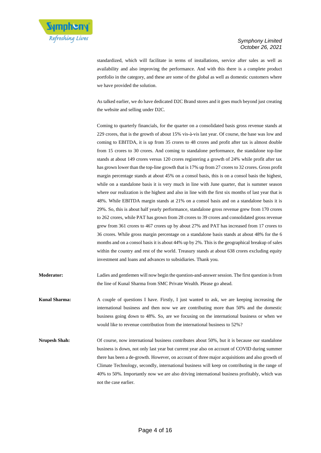

standardized, which will facilitate in terms of installations, service after sales as well as availability and also improving the performance. And with this there is a complete product portfolio in the category, and these are some of the global as well as domestic customers where we have provided the solution.

As talked earlier, we do have dedicated D2C Brand stores and it goes much beyond just creating the website and selling under D2C.

Coming to quarterly financials, for the quarter on a consolidated basis gross revenue stands at 229 crores, that is the growth of about 15% vis-à-vis last year. Of course, the base was low and coming to EBITDA, it is up from 35 crores to 48 crores and profit after tax is almost double from 15 crores to 30 crores. And coming to standalone performance, the standalone top-line stands at about 149 crores versus 120 crores registering a growth of 24% while profit after tax has grown lower than the top-line growth that is 17% up from 27 crores to 32 crores. Gross profit margin percentage stands at about 45% on a consol basis, this is on a consol basis the highest, while on a standalone basis it is very much in line with June quarter, that is summer season where our realization is the highest and also in line with the first six months of last year that is 48%. While EBITDA margin stands at 21% on a consol basis and on a standalone basis it is 29%. So, this is about half yearly performance, standalone gross revenue grew from 170 crores to 262 crores, while PAT has grown from 28 crores to 39 crores and consolidated gross revenue grew from 361 crores to 467 crores up by about 27% and PAT has increased from 17 crores to 36 crores. While gross margin percentage on a standalone basis stands at about 48% for the 6 months and on a consol basis it is about 44% up by 2%. This is the geographical breakup of sales within the country and rest of the world. Treasury stands at about 638 crores excluding equity investment and loans and advances to subsidiaries. Thank you.

- **Moderator:** Ladies and gentlemen will now begin the question-and-answer session. The first question is from the line of Kunal Sharma from SMC Private Wealth. Please go ahead.
- **Kunal Sharma:** A couple of questions I have. Firstly, I just wanted to ask, we are keeping increasing the international business and then now we are contributing more than 50% and the domestic business going down to 48%. So, are we focusing on the international business or when we would like to revenue contribution from the international business to 52%?
- **Nrupesh Shah:** Of course, now international business contributes about 50%, but it is because our standalone business is down, not only last year but current year also on account of COVID during summer there has been a de-growth. However, on account of three major acquisitions and also growth of Climate Technology, secondly, international business will keep on contributing in the range of 40% to 50%. Importantly now we are also driving international business profitably, which was not the case earlier.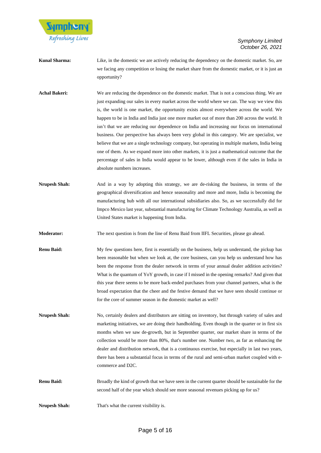

- **Kunal Sharma:** Like, in the domestic we are actively reducing the dependency on the domestic market. So, are we facing any competition or losing the market share from the domestic market, or it is just an opportunity?
- Achal Bakeri: We are reducing the dependence on the domestic market. That is not a conscious thing. We are just expanding our sales in every market across the world where we can. The way we view this is, the world is one market, the opportunity exists almost everywhere across the world. We happen to be in India and India just one more market out of more than 200 across the world. It isn't that we are reducing our dependence on India and increasing our focus on international business. Our perspective has always been very global in this category. We are specialist, we believe that we are a single technology company, but operating in multiple markets, India being one of them. As we expand more into other markets, it is just a mathematical outcome that the percentage of sales in India would appear to be lower, although even if the sales in India in absolute numbers increases.
- **Nrupesh Shah:** And in a way by adopting this strategy, we are de-risking the business, in terms of the geographical diversification and hence seasonality and more and more, India is becoming the manufacturing hub with all our international subsidiaries also. So, as we successfully did for Impco Mexico last year, substantial manufacturing for Climate Technology Australia, as well as United States market is happening from India.
- **Moderator:** The next question is from the line of Renu Baid from IIFL Securities, please go ahead.
- **Renu Baid:** My few questions here, first is essentially on the business, help us understand, the pickup has been reasonable but when we look at, the core business, can you help us understand how has been the response from the dealer network in terms of your annual dealer addition activities? What is the quantum of YoY growth, in case if I missed in the opening remarks? And given that this year there seems to be more back-ended purchases from your channel partners, what is the broad expectation that the cheer and the festive demand that we have seen should continue or for the core of summer season in the domestic market as well?
- **Nrupesh Shah:** No, certainly dealers and distributors are sitting on inventory, but through variety of sales and marketing initiatives, we are doing their handholding. Even though in the quarter or in first six months when we saw de-growth, but in September quarter, our market share in terms of the collection would be more than 80%, that's number one. Number two, as far as enhancing the dealer and distribution network, that is a continuous exercise, but especially in last two years, there has been a substantial focus in terms of the rural and semi-urban market coupled with ecommerce and D2C.
- **Renu Baid:** Broadly the kind of growth that we have seen in the current quarter should be sustainable for the second half of the year which should see more seasonal revenues picking up for us?
- **Nrupesh Shah:** That's what the current visibility is.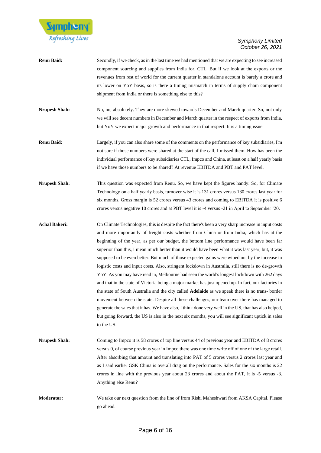

- **Renu Baid:** Secondly, if we check, as in the last time we had mentioned that we are expecting to see increased component sourcing and supplies from India for, CTL. But if we look at the exports or the revenues from rest of world for the current quarter in standalone account is barely a crore and its lower on YoY basis, so is there a timing mismatch in terms of supply chain component shipment from India or there is something else to this?
- **Nrupesh Shah:** No, no, absolutely. They are more skewed towards December and March quarter. So, not only we will see decent numbers in December and March quarter in the respect of exports from India, but YoY we expect major growth and performance in that respect. It is a timing issue.
- **Renu Baid:** Largely, if you can also share some of the comments on the performance of key subsidiaries, I'm not sure if those numbers were shared at the start of the call, I missed them. How has been the individual performance of key subsidiaries CTL, Impco and China, at least on a half yearly basis if we have those numbers to be shared? At revenue EBITDA and PBT and PAT level.
- **Nrupesh Shah:** This question was expected from Renu. So, we have kept the figures handy. So, for Climate Technology on a half yearly basis, turnover wise it is 131 crores versus 130 crores last year for six months. Gross margin is 52 crores versus 43 crores and coming to EBITDA it is positive 6 crores versus negative 10 crores and at PBT level it is -4 versus -21 in April to September '20.
- **Achal Bakeri:** On Climate Technologies, this is despite the fact there's been a very sharp increase in input costs and more importantly of freight costs whether from China or from India, which has at the beginning of the year, as per our budget, the bottom line performance would have been far superior than this, I mean much better than it would have been what it was last year, but, it was supposed to be even better. But much of those expected gains were wiped out by the increase in logistic costs and input costs. Also, stringent lockdown in Australia, still there is no de-growth YoY. As you may have read in, Melbourne had seen the world's longest lockdown with 262 days and that in the state of Victoria being a major market has just opened up. In fact, our factories in the state of South Australia and the city called **Adelaide** as we speak there is no trans- border movement between the state. Despite all these challenges, our team over there has managed to generate the sales that it has. We have also, I think done very well in the US, that has also helped, but going forward, the US is also in the next six months, you will see significant uptick in sales to the US.
- **Nrupesh Shah:** Coming to Impco it is 58 crores of top line versus 44 of previous year and EBITDA of 8 crores versus 0, of course previous year in Impco there was one time write off of one of the large retail. After absorbing that amount and translating into PAT of 5 crores versus 2 crores last year and as I said earlier GSK China is overall drag on the performance. Sales for the six months is 22 crores in line with the previous year about 23 crores and about the PAT, it is -5 versus -3. Anything else Renu?
- **Moderator:** We take our next question from the line of from Rishi Maheshwari from AKSA Capital. Please go ahead.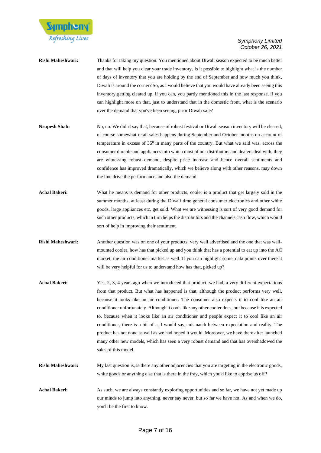

- **Rishi Maheshwari:** Thanks for taking my question. You mentioned about Diwali season expected to be much better and that will help you clear your trade inventory. Is it possible to highlight what is the number of days of inventory that you are holding by the end of September and how much you think, Diwali is around the corner? So, as I would believe that you would have already been seeing this inventory getting cleared up, if you can, you partly mentioned this in the last response, if you can highlight more on that, just to understand that in the domestic front, what is the scenario over the demand that you've been seeing, prior Diwali sale?
- **Nrupesh Shah:** No, no. We didn't say that, because of robust festival or Diwali season inventory will be cleared, of course somewhat retail sales happens during September and October months on account of temperature in excess of  $35<sup>0</sup>$  in many parts of the country. But what we said was, across the consumer durable and appliances into which most of our distributors and dealers deal with, they are witnessing robust demand, despite price increase and hence overall sentiments and confidence has improved dramatically, which we believe along with other reasons, may down the line drive the performance and also the demand.
- Achal Bakeri: What he means is demand for other products, cooler is a product that get largely sold in the summer months, at least during the Diwali time general consumer electronics and other white goods, large appliances etc. get sold. What we are witnessing is sort of very good demand for such other products, which in turn helps the distributors and the channels cash flow, which would sort of help in improving their sentiment.
- **Rishi Maheshwari:** Another question was on one of your products, very well advertised and the one that was wallmounted cooler, how has that picked up and you think that has a potential to eat up into the AC market, the air conditioner market as well. If you can highlight some, data points over there it will be very helpful for us to understand how has that, picked up?
- Achal Bakeri: Yes, 2, 3, 4 years ago when we introduced that product, we had, a very different expectations from that product. But what has happened is that, although the product performs very well, because it looks like an air conditioner. The consumer also expects it to cool like an air conditioner unfortunately. Although it cools like any other cooler does, but because it is expected to, because when it looks like an air conditioner and people expect it to cool like an air conditioner, there is a bit of a, I would say, mismatch between expectation and reality. The product has not done as well as we had hoped it would. Moreover, we have there after launched many other new models, which has seen a very robust demand and that has overshadowed the sales of this model.
- **Rishi Maheshwari:** My last question is, is there any other adjacencies that you are targeting in the electronic goods, white goods or anything else that is there in the fray, which you'd like to apprise us off?
- Achal Bakeri: As such, we are always constantly exploring opportunities and so far, we have not yet made up our minds to jump into anything, never say never, but so far we have not. As and when we do, you'll be the first to know.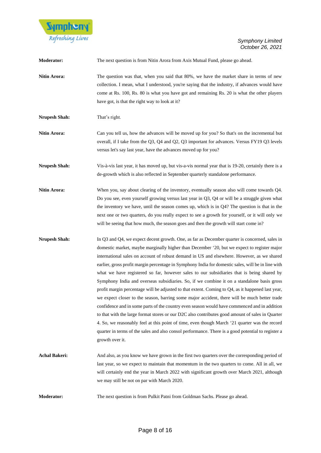

| <b>Moderator:</b>    | The next question is from Nitin Arora from Axis Mutual Fund, please go ahead.                                                                                                                                                                                                                                                                                                                                                                                                                                                                                                                                                                                                                                                                                                                                                                                                                                                                                                                                                                                                                                                                                                                                                  |
|----------------------|--------------------------------------------------------------------------------------------------------------------------------------------------------------------------------------------------------------------------------------------------------------------------------------------------------------------------------------------------------------------------------------------------------------------------------------------------------------------------------------------------------------------------------------------------------------------------------------------------------------------------------------------------------------------------------------------------------------------------------------------------------------------------------------------------------------------------------------------------------------------------------------------------------------------------------------------------------------------------------------------------------------------------------------------------------------------------------------------------------------------------------------------------------------------------------------------------------------------------------|
| Nitin Arora:         | The question was that, when you said that 80%, we have the market share in terms of new<br>collection. I mean, what I understood, you're saying that the industry, if advances would have<br>come at Rs. 100, Rs. 80 is what you have got and remaining Rs. 20 is what the other players<br>have got, is that the right way to look at it?                                                                                                                                                                                                                                                                                                                                                                                                                                                                                                                                                                                                                                                                                                                                                                                                                                                                                     |
| <b>Nrupesh Shah:</b> | That's right.                                                                                                                                                                                                                                                                                                                                                                                                                                                                                                                                                                                                                                                                                                                                                                                                                                                                                                                                                                                                                                                                                                                                                                                                                  |
| Nitin Arora:         | Can you tell us, how the advances will be moved up for you? So that's on the incremental but<br>overall, if I take from the Q3, Q4 and Q2, Q3 important for advances. Versus FY19 Q3 levels<br>versus let's say last year, have the advances moved up for you?                                                                                                                                                                                                                                                                                                                                                                                                                                                                                                                                                                                                                                                                                                                                                                                                                                                                                                                                                                 |
| <b>Nrupesh Shah:</b> | Vis-à-vis last year, it has moved up, but vis-a-vis normal year that is 19-20, certainly there is a<br>de-growth which is also reflected in September quarterly standalone performance.                                                                                                                                                                                                                                                                                                                                                                                                                                                                                                                                                                                                                                                                                                                                                                                                                                                                                                                                                                                                                                        |
| Nitin Arora:         | When you, say about clearing of the inventory, eventually season also will come towards Q4.<br>Do you see, even yourself growing versus last year in Q3, Q4 or will be a struggle given what<br>the inventory we have, until the season comes up, which is in $Q4$ ? The question is that in the<br>next one or two quarters, do you really expect to see a growth for yourself, or it will only we<br>will be seeing that how much, the season goes and then the growth will start come in?                                                                                                                                                                                                                                                                                                                                                                                                                                                                                                                                                                                                                                                                                                                                   |
| <b>Nrupesh Shah:</b> | In Q3 and Q4, we expect decent growth. One, as far as December quarter is concerned, sales in<br>domestic market, maybe marginally higher than December '20, but we expect to register major<br>international sales on account of robust demand in US and elsewhere. However, as we shared<br>earlier, gross profit margin percentage in Symphony India for domestic sales, will be in line with<br>what we have registered so far, however sales to our subsidiaries that is being shared by<br>Symphony India and overseas subsidiaries. So, if we combine it on a standalone basis gross<br>profit margin percentage will be adjusted to that extent. Coming to Q4, as it happened last year,<br>we expect closer to the season, barring some major accident, there will be much better trade<br>confidence and in some parts of the country even season would have commenced and in addition<br>to that with the large format stores or our D2C also contributes good amount of sales in Quarter<br>4. So, we reasonably feel at this point of time, even though March '21 quarter was the record<br>quarter in terms of the sales and also consol performance. There is a good potential to register a<br>growth over it. |
| <b>Achal Bakeri:</b> | And also, as you know we have grown in the first two quarters over the corresponding period of<br>last year, so we expect to maintain that momentum in the two quarters to come. All in all, we<br>will certainly end the year in March 2022 with significant growth over March 2021, although<br>we may still be not on par with March 2020.                                                                                                                                                                                                                                                                                                                                                                                                                                                                                                                                                                                                                                                                                                                                                                                                                                                                                  |
| Moderator:           | The next question is from Pulkit Patni from Goldman Sachs. Please go ahead.                                                                                                                                                                                                                                                                                                                                                                                                                                                                                                                                                                                                                                                                                                                                                                                                                                                                                                                                                                                                                                                                                                                                                    |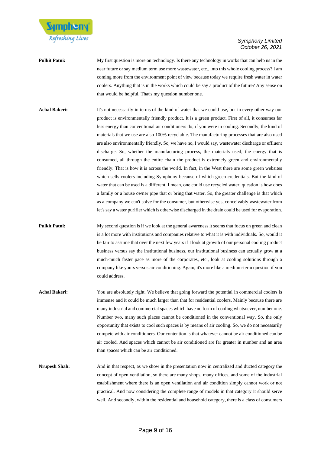

### **Pulkit Patni:** My first question is more on technology. Is there any technology in works that can help us in the near future or say medium term use more wastewater, etc., into this whole cooling process? I am coming more from the environment point of view because today we require fresh water in water coolers. Anything that is in the works which could be say a product of the future? Any sense on that would be helpful. That's my question number one.

Achal Bakeri: It's not necessarily in terms of the kind of water that we could use, but in every other way our product is environmentally friendly product. It is a green product. First of all, it consumes far less energy than conventional air conditioners do, if you were in cooling. Secondly, the kind of materials that we use are also 100% recyclable. The manufacturing processes that are also used are also environmentally friendly. So, we have no, I would say, wastewater discharge or effluent discharge. So, whether the manufacturing process, the materials used, the energy that is consumed, all through the entire chain the product is extremely green and environmentally friendly. That is how it is across the world. In fact, in the West there are some green websites which sells coolers including Symphony because of which green credentials. But the kind of water that can be used is a different, I mean, one could use recycled water, question is how does a family or a house owner pipe that or bring that water. So, the greater challenge is that which as a company we can't solve for the consumer, but otherwise yes, conceivably wastewater from let's say a water purifier which is otherwise discharged in the drain could be used for evaporation.

**Pulkit Patni:** My second question is if we look at the general awareness it seems that focus on green and clean is a lot more with institutions and companies relative to what it is with individuals. So, would it be fair to assume that over the next few years if I look at growth of our personal cooling product business versus say the institutional business, our institutional business can actually grow at a much-much faster pace as more of the corporates, etc., look at cooling solutions through a company like yours versus air conditioning. Again, it's more like a medium-term question if you could address.

Achal Bakeri: You are absolutely right. We believe that going forward the potential in commercial coolers is immense and it could be much larger than that for residential coolers. Mainly because there are many industrial and commercial spaces which have no form of cooling whatsoever, number one. Number two, many such places cannot be conditioned in the conventional way. So, the only opportunity that exists to cool such spaces is by means of air cooling. So, we do not necessarily compete with air conditioners. Our contention is that whatever cannot be air conditioned can be air cooled. And spaces which cannot be air conditioned are far greater in number and an area than spaces which can be air conditioned.

**Nrupesh Shah:** And in that respect, as we show in the presentation now in centralized and ducted category the concept of open ventilation, so there are many shops, many offices, and some of the industrial establishment where there is an open ventilation and air condition simply cannot work or not practical. And now considering the complete range of models in that category it should serve well. And secondly, within the residential and household category, there is a class of consumers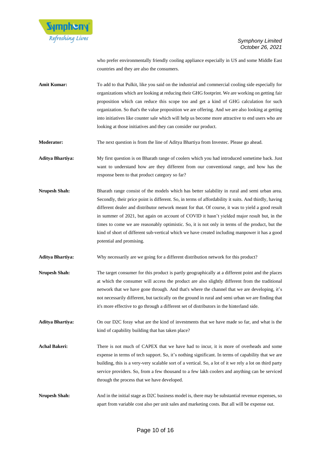

who prefer environmentally friendly cooling appliance especially in US and some Middle East countries and they are also the consumers.

**Amit Kumar:** To add to that Pulkit, like you said on the industrial and commercial cooling side especially for organizations which are looking at reducing their GHG footprint. We are working on getting fair proposition which can reduce this scope too and get a kind of GHG calculation for such organization. So that's the value proposition we are offering. And we are also looking at getting into initiatives like counter sale which will help us become more attractive to end users who are looking at those initiatives and they can consider our product.

**Moderator:** The next question is from the line of Aditya Bhartiya from Investec. Please go ahead.

**Aditya Bhartiya:** My first question is on Bharath range of coolers which you had introduced sometime back. Just want to understand how are they different from our conventional range, and how has the response been to that product category so far?

- **Nrupesh Shah:** Bharath range consist of the models which has better salability in rural and semi urban area. Secondly, their price point is different. So, in terms of affordability it suits. And thirdly, having different dealer and distributor network meant for that. Of course, it was to yield a good result in summer of 2021, but again on account of COVID it hasn't yielded major result but, in the times to come we are reasonably optimistic. So, it is not only in terms of the product, but the kind of short of different sub-vertical which we have created including manpower it has a good potential and promising.
- **Aditya Bhartiya:** Why necessarily are we going for a different distribution network for this product?
- **Nrupesh Shah:** The target consumer for this product is partly geographically at a different point and the places at which the consumer will access the product are also slightly different from the traditional network that we have gone through. And that's where the channel that we are developing, it's not necessarily different, but tactically on the ground in rural and semi urban we are finding that it's more effective to go through a different set of distributors in the hinterland side.
- **Aditya Bhartiya:** On our D2C foray what are the kind of investments that we have made so far, and what is the kind of capability building that has taken place?
- Achal Bakeri: There is not much of CAPEX that we have had to incur, it is more of overheads and some expense in terms of tech support. So, it's nothing significant. In terms of capability that we are building, this is a very-very scalable sort of a vertical. So, a lot of it we rely a lot on third party service providers. So, from a few thousand to a few lakh coolers and anything can be serviced through the process that we have developed.
- **Nrupesh Shah:** And in the initial stage as D2C business model is, there may be substantial revenue expenses, so apart from variable cost also per unit sales and marketing costs. But all will be expense out.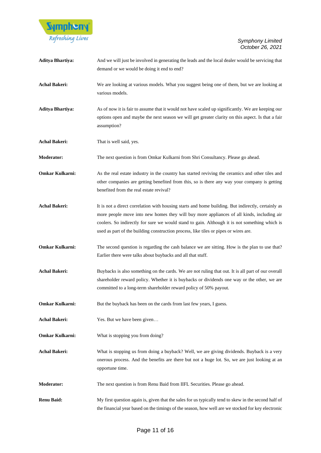

| <b>Aditya Bhartiya:</b> | And we will just be involved in generating the leads and the local dealer would be servicing that<br>demand or we would be doing it end to end?                                                                                                                                                                                                                                          |
|-------------------------|------------------------------------------------------------------------------------------------------------------------------------------------------------------------------------------------------------------------------------------------------------------------------------------------------------------------------------------------------------------------------------------|
| <b>Achal Bakeri:</b>    | We are looking at various models. What you suggest being one of them, but we are looking at<br>various models.                                                                                                                                                                                                                                                                           |
| <b>Aditya Bhartiya:</b> | As of now it is fair to assume that it would not have scaled up significantly. We are keeping our<br>options open and maybe the next season we will get greater clarity on this aspect. Is that a fair<br>assumption?                                                                                                                                                                    |
| <b>Achal Bakeri:</b>    | That is well said, yes.                                                                                                                                                                                                                                                                                                                                                                  |
| Moderator:              | The next question is from Omkar Kulkarni from Shri Consultancy. Please go ahead.                                                                                                                                                                                                                                                                                                         |
| Omkar Kulkarni:         | As the real estate industry in the country has started reviving the ceramics and other tiles and<br>other companies are getting benefited from this, so is there any way your company is getting<br>benefited from the real estate revival?                                                                                                                                              |
| <b>Achal Bakeri:</b>    | It is not a direct correlation with housing starts and home building. But indirectly, certainly as<br>more people move into new homes they will buy more appliances of all kinds, including air<br>coolers. So indirectly for sure we would stand to gain. Although it is not something which is<br>used as part of the building construction process, like tiles or pipes or wires are. |
| <b>Omkar Kulkarni:</b>  | The second question is regarding the cash balance we are sitting. How is the plan to use that?<br>Earlier there were talks about buybacks and all that stuff.                                                                                                                                                                                                                            |
| <b>Achal Bakeri:</b>    | Buybacks is also something on the cards. We are not ruling that out. It is all part of our overall<br>shareholder reward policy. Whether it is buybacks or dividends one way or the other, we are<br>committed to a long-term shareholder reward policy of 50% payout.                                                                                                                   |
| Omkar Kulkarni:         | But the buyback has been on the cards from last few years, I guess.                                                                                                                                                                                                                                                                                                                      |
| <b>Achal Bakeri:</b>    | Yes. But we have been given                                                                                                                                                                                                                                                                                                                                                              |
| Omkar Kulkarni:         | What is stopping you from doing?                                                                                                                                                                                                                                                                                                                                                         |
| <b>Achal Bakeri:</b>    | What is stopping us from doing a buyback? Well, we are giving dividends. Buyback is a very<br>onerous process. And the benefits are there but not a huge lot. So, we are just looking at an<br>opportune time.                                                                                                                                                                           |
| <b>Moderator:</b>       | The next question is from Renu Baid from IIFL Securities. Please go ahead.                                                                                                                                                                                                                                                                                                               |
| <b>Renu Baid:</b>       | My first question again is, given that the sales for us typically tend to skew in the second half of<br>the financial year based on the timings of the season, how well are we stocked for key electronic                                                                                                                                                                                |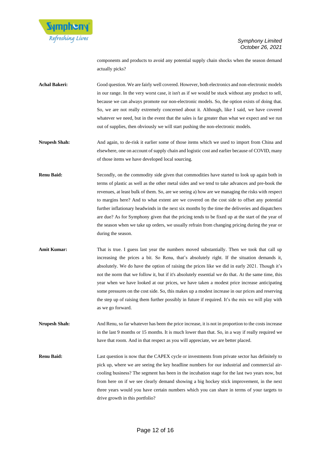

components and products to avoid any potential supply chain shocks when the season demand actually picks?

Achal Bakeri: Good question. We are fairly well covered. However, both electronics and non-electronic models in our range. In the very worst case, it isn't as if we would be stuck without any product to sell, because we can always promote our non-electronic models. So, the option exists of doing that. So, we are not really extremely concerned about it. Although, like I said, we have covered whatever we need, but in the event that the sales is far greater than what we expect and we run out of supplies, then obviously we will start pushing the non-electronic models.

**Nrupesh Shah:** And again, to de-risk it earlier some of those items which we used to import from China and elsewhere, one on account of supply chain and logistic cost and earlier because of COVID, many of those items we have developed local sourcing.

**Renu Baid:** Secondly, on the commodity side given that commodities have started to look up again both in terms of plastic as well as the other metal sides and we tend to take advances and pre-book the revenues, at least bulk of them. So, are we seeing a) how are we managing the risks with respect to margins here? And to what extent are we covered on the cost side to offset any potential further inflationary headwinds in the next six months by the time the deliveries and dispatchers are due? As for Symphony given that the pricing tends to be fixed up at the start of the year of the season when we take up orders, we usually refrain from changing pricing during the year or during the season.

Amit Kumar: That is true. I guess last year the numbers moved substantially. Then we took that call up increasing the prices a bit. So Renu, that's absolutely right. If the situation demands it, absolutely. We do have the option of raising the prices like we did in early 2021. Though it's not the norm that we follow it, but if it's absolutely essential we do that. At the same time, this year when we have looked at our prices, we have taken a modest price increase anticipating some pressures on the cost side. So, this makes up a modest increase in our prices and reserving the step up of raising them further possibly in future if required. It's the mix we will play with as we go forward.

**Nrupesh Shah:** And Renu, so far whatever has been the price increase, it is not in proportion to the costs increase in the last 9 months or 15 months. It is much lower than that. So, in a way if really required we have that room. And in that respect as you will appreciate, we are better placed.

**Renu Baid:** Last question is now that the CAPEX cycle or investments from private sector has definitely to pick up, where we are seeing the key headline numbers for our industrial and commercial aircooling business? The segment has been in the incubation stage for the last two years now, but from here on if we see clearly demand showing a big hockey stick improvement, in the next three years would you have certain numbers which you can share in terms of your targets to drive growth in this portfolio?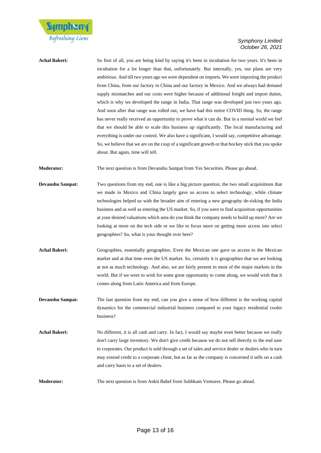

| Achal Bakeri: | So first of all, you are being kind by saying it's been in incubation for two years. It's been in  |
|---------------|----------------------------------------------------------------------------------------------------|
|               | incubation for a lot longer than that, unfortunately. But internally, yes, our plans are very      |
|               | ambitious. And till two years ago we were dependent on imports. We were importing the product      |
|               | from China, from our factory in China and our factory in Mexico. And we always had demand          |
|               | supply mismatches and our costs were higher because of additional freight and import duties,       |
|               | which is why we developed the range in India. That range was developed just two years ago.         |
|               | And soon after that range was rolled out, we have had this entire COVID thing. So, the range       |
|               | has never really received an opportunity to prove what it can do. But in a normal world we feel    |
|               | that we should be able to scale this business up significantly. The local manufacturing and        |
|               | everything is under our control. We also have a significant, I would say, competitive advantage.   |
|               | So, we believe that we are on the cusp of a significant growth or that hockey stick that you spoke |
|               | about. But again, time will tell.                                                                  |
|               |                                                                                                    |

**Moderator:** The next question is from Devanshu Sampat from Yes Securities. Please go ahead.

- **Devanshu Sampat:** Two questions from my end, one is like a big picture question, the two small acquisitions that we made in Mexico and China largely gave us access to select technology, while climate technologies helped us with the broader aim of entering a new geography de-risking the India business and as well as entering the US market. So, if you were to find acquisition opportunities at your desired valuations which area do you think the company needs to build up more? Are we looking at more on the tech side or we like to focus more on getting more access into select geographies? So, what is your thought over here?
- Achal Bakeri: Geographies, essentially geographies. Even the Mexican one gave us access to the Mexican market and at that time even the US market. So, certainly it is geographies that we are looking at not as much technology. And also, we are fairly present in most of the major markets in the world. But if we were to wish for some great opportunity to come along, we would wish that it comes along from Latin America and from Europe.
- **Devanshu Sampat:** The last question from my end, can you give a sense of how different is the working capital dynamics for the commercial industrial business compared to your legacy residential cooler business?
- **Achal Bakeri:** No different, it is all cash and carry. In fact, I would say maybe even better because we really don't carry large inventory. We don't give credit because we do not sell directly to the end user to corporates. Our product is sold through a set of sales and service dealer or dealers who in turn may extend credit to a corporate client, but as far as the company is concerned it sells on a cash and carry basis to a set of dealers.
- **Moderator:** The next question is from Ankit Babel from Subhkam Ventures. Please go ahead.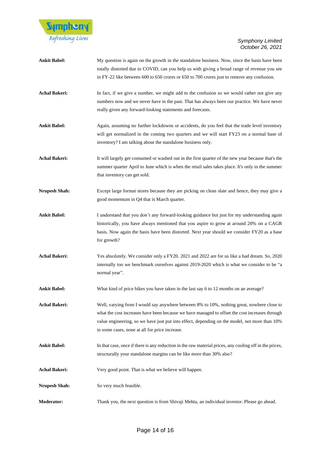

| <b>Ankit Babel:</b>  | My question is again on the growth in the standalone business. Now, since the basis have been<br>totally distorted due to COVID, can you help us with giving a broad range of revenue you see<br>in FY-22 like between 600 to 650 crores or 650 to 700 crores just to remove any confusion.                                                     |
|----------------------|-------------------------------------------------------------------------------------------------------------------------------------------------------------------------------------------------------------------------------------------------------------------------------------------------------------------------------------------------|
| <b>Achal Bakeri:</b> | In fact, if we give a number, we might add to the confusion so we would rather not give any<br>numbers now and we never have in the past. That has always been our practice. We have never<br>really given any forward-looking statements and forecasts.                                                                                        |
| <b>Ankit Babel:</b>  | Again, assuming no further lockdowns or accidents, do you feel that the trade level inventory<br>will get normalized in the coming two quarters and we will start FY23 on a normal base of<br>inventory? I am talking about the standalone business only.                                                                                       |
| <b>Achal Bakeri:</b> | It will largely get consumed or washed out in the first quarter of the new year because that's the<br>summer quarter April to June which is when the retail sales takes place. It's only in the summer<br>that inventory can get sold.                                                                                                          |
| <b>Nrupesh Shah:</b> | Except large format stores because they are picking on clean slate and hence, they may give a<br>good momentum in Q4 that is March quarter.                                                                                                                                                                                                     |
| <b>Ankit Babel:</b>  | I understand that you don't any forward-looking guidance but just for my understanding again<br>historically, you have always mentioned that you aspire to grow at around 20% on a CAGR<br>basis. Now again the basis have been distorted. Next year should we consider FY20 as a base<br>for growth?                                           |
| <b>Achal Bakeri:</b> | Yes absolutely. We consider only a FY20. 2021 and 2022 are for us like a bad dream. So, 2020<br>internally too we benchmark ourselves against 2019-2020 which is what we consider to be "a<br>normal year".                                                                                                                                     |
| <b>Ankit Babel:</b>  | What kind of price hikes you have taken in the last say 6 to 12 months on an average?                                                                                                                                                                                                                                                           |
| <b>Achal Bakeri:</b> | Well, varying from I would say anywhere between 8% to 10%, nothing great, nowhere close to<br>what the cost increases have been because we have managed to offset the cost increases through<br>value engineering, so we have just put into effect, depending on the model, not more than 10%<br>in some cases, none at all for price increase. |
| <b>Ankit Babel:</b>  | In that case, once if there is any reduction in the raw material prices, any cooling off in the prices,<br>structurally your standalone margins can be like more than 30% also?                                                                                                                                                                 |
| <b>Achal Bakeri:</b> | Very good point. That is what we believe will happen.                                                                                                                                                                                                                                                                                           |
| <b>Nrupesh Shah:</b> | So very much feasible.                                                                                                                                                                                                                                                                                                                          |
| Moderator:           | Thank you, the next question is from Shivaji Mehta, an individual investor. Please go ahead.                                                                                                                                                                                                                                                    |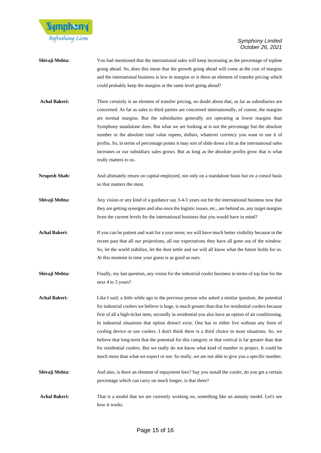

- **Shivaji Mehta:** You had mentioned that the international sales will keep increasing as the percentage of topline going ahead. So, does this mean that the growth going ahead will come at the cost of margins and the international business is low in margins or is there an element of transfer pricing which could probably keep the margins at the same level going ahead?
- Achal Bakeri: There certainly is an element of transfer pricing, no doubt about that, as far as subsidiaries are concerned. As far as sales to third parties are concerned internationally, of course, the margins are normal margins. But the subsidiaries generally are operating at lower margins than Symphony standalone does. But what we are looking at is not the percentage but the absolute number or the absolute total value rupees, dollars, whatever currency you want to use it of profits. So, in terms of percentage points it may sort of slide down a bit as the international sales increases or our subsidiary sales grows. But as long as the absolute profits grow that is what really matters to us.
- **Nrupesh Shah:** And ultimately return on capital employed, not only on a standalone basis but on a consol basis so that matters the most.
- **Shivaji Mehta:** Any vision or any kind of a guidance say 3-4-5 years out for the international business now that they are getting synergies and also once the logistic issues, etc., are behind us, any target margins from the current levels for the international business that you would have in mind?
- **Achal Bakeri:** If you can be patient and wait for a year more; we will have much better visibility because in the recent past that all our projections, all our expectations they have all gone out of the window. So, let the world stabilize, let the dust settle and we will all know what the future holds for us. At this moment in time your guess is as good as ours.
- **Shivaji Mehta:** Finally, my last question, any vision for the industrial cooler business in terms of top line for the next 4 to 5 years?
- **Achal Bakeri:** Like I said, a little while ago to the previous person who asked a similar question, the potential for industrial coolers we believe is huge, is much greater than that for residential coolers because first of all a high-ticket item, secondly in residential you also have an option of air conditioning. In industrial situations that option doesn't exist. One has to either live without any form of cooling device or use coolers. I don't think there is a third choice in most situations. So, we believe that long-term that the potential for this category or that vertical is far greater than that for residential coolers. But we really do not know what kind of number to project. It could be much more than what we expect or not. So really, we are not able to give you a specific number.
- **Shivaji Mehta:** And also, is there an element of repayment fees? Say you install the cooler, do you get a certain percentage which can carry on much longer, is that there?
- Achal Bakeri: That is a model that we are currently working on, something like an annuity model. Let's see how it works.